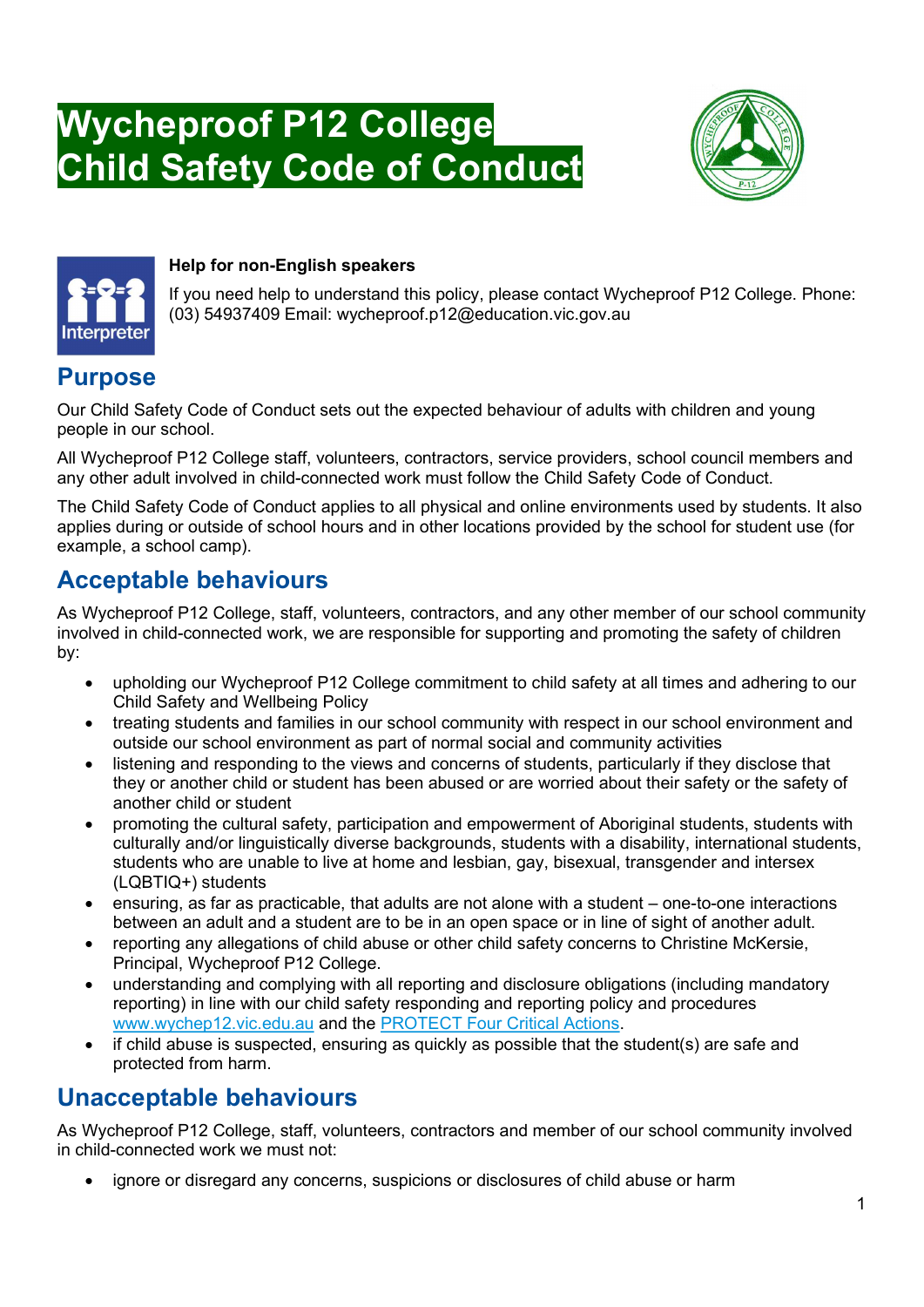# Wycheproof P12 College Child Safety Code of Conduct





#### Help for non-English speakers

If you need help to understand this policy, please contact Wycheproof P12 College. Phone: (03) 54937409 Email: wycheproof.p12@education.vic.gov.au

#### **Purpose**

Our Child Safety Code of Conduct sets out the expected behaviour of adults with children and young people in our school.

All Wycheproof P12 College staff, volunteers, contractors, service providers, school council members and any other adult involved in child-connected work must follow the Child Safety Code of Conduct.

The Child Safety Code of Conduct applies to all physical and online environments used by students. It also applies during or outside of school hours and in other locations provided by the school for student use (for example, a school camp).

### Acceptable behaviours

As Wycheproof P12 College, staff, volunteers, contractors, and any other member of our school community involved in child-connected work, we are responsible for supporting and promoting the safety of children by:

- upholding our Wycheproof P12 College commitment to child safety at all times and adhering to our Child Safety and Wellbeing Policy
- treating students and families in our school community with respect in our school environment and outside our school environment as part of normal social and community activities
- listening and responding to the views and concerns of students, particularly if they disclose that they or another child or student has been abused or are worried about their safety or the safety of another child or student
- promoting the cultural safety, participation and empowerment of Aboriginal students, students with culturally and/or linguistically diverse backgrounds, students with a disability, international students, students who are unable to live at home and lesbian, gay, bisexual, transgender and intersex (LQBTIQ+) students
- ensuring, as far as practicable, that adults are not alone with a student one-to-one interactions between an adult and a student are to be in an open space or in line of sight of another adult.
- reporting any allegations of child abuse or other child safety concerns to Christine McKersie. Principal, Wycheproof P12 College.
- understanding and complying with all reporting and disclosure obligations (including mandatory reporting) in line with our child safety responding and reporting policy and procedures www.wychep12.vic.edu.au and the PROTECT Four Critical Actions.
- if child abuse is suspected, ensuring as quickly as possible that the student(s) are safe and protected from harm.

# Unacceptable behaviours

As Wycheproof P12 College, staff, volunteers, contractors and member of our school community involved in child-connected work we must not:

ignore or disregard any concerns, suspicions or disclosures of child abuse or harm